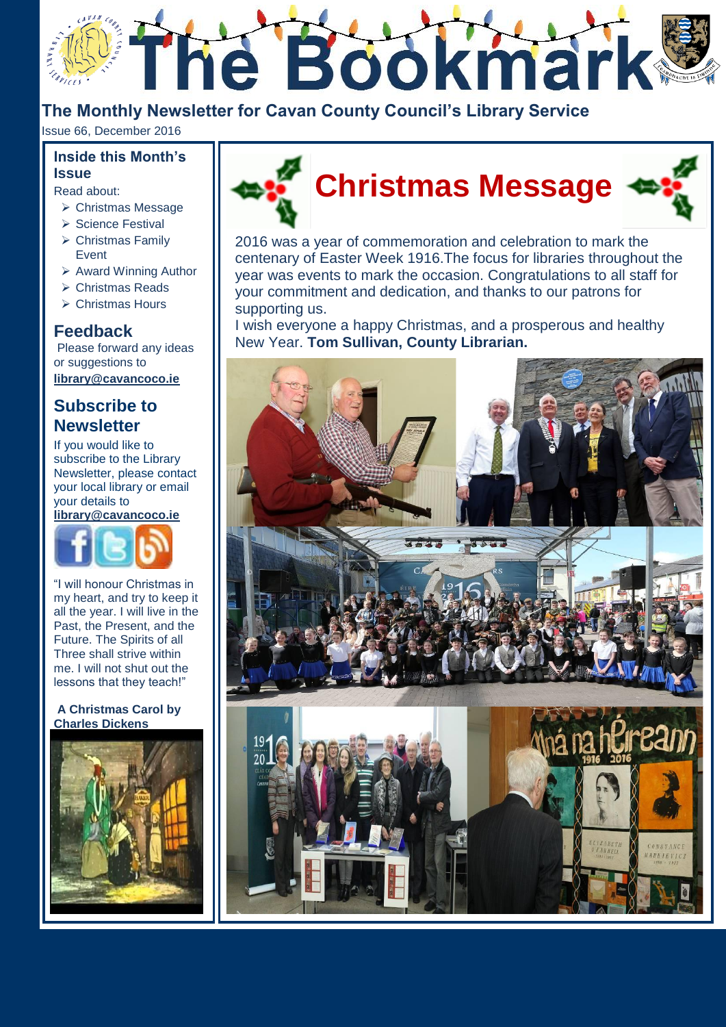

**The Monthly Newsletter for Cavan County Council's Library Service**

Issue 66, December 2016

### **Inside this Month's Issue**

Read about:

- Christmas Message
- > Science Festival
- $\triangleright$  Christmas Family Event
	- $\triangleright$  Award Winning Author
	- Christmas Reads
	- Christmas Hours

## **Feedback**

Please forward any ideas or suggestions to **[library@cavancoco.ie](mailto:info@cavanlibrary.ie?subject=Newsletter%20ideas%20&%20Feedback)**

### **Subscribe to Newsletter**

If you would like to subscribe to the Library Newsletter, please contact your local library or email your details to **[library@cavancoco.ie](mailto:library@cavancoco.ie)**



"I will honour Christmas in my heart, and try to keep it all the year. I will live in the Past, the Present, and the Future. The Spirits of all Three shall strive within me. I will not shut out the lessons that they teach!"

#### **A Christmas Carol by Charles Dickens**





2016 was a year of commemoration and celebration to mark the centenary of Easter Week 1916.The focus for libraries throughout the year was events to mark the occasion. Congratulations to all staff for your commitment and dedication, and thanks to our patrons for supporting us.

I wish everyone a happy Christmas, and a prosperous and healthy New Year. **Tom Sullivan, County Librarian.**